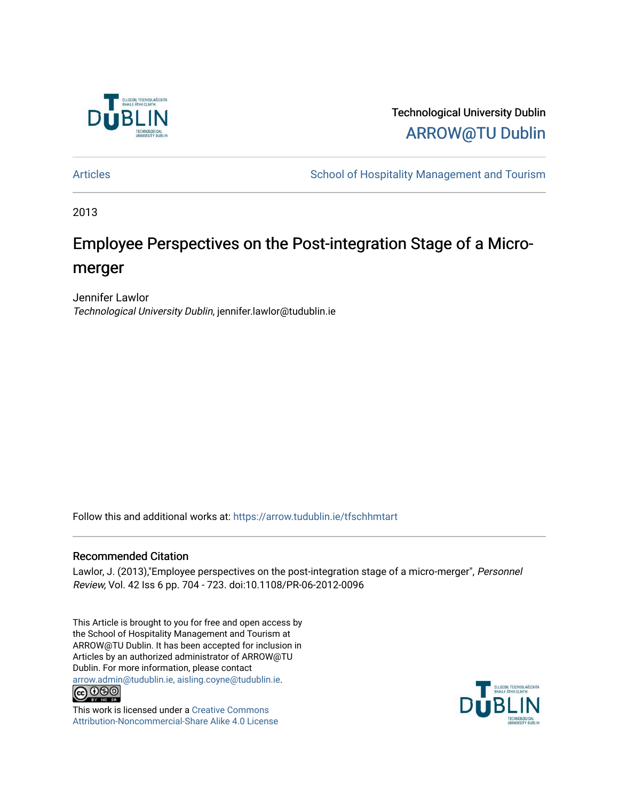

Technological University Dublin [ARROW@TU Dublin](https://arrow.tudublin.ie/) 

[Articles](https://arrow.tudublin.ie/tfschhmtart) **School of Hospitality Management and Tourism** 

2013

# Employee Perspectives on the Post-integration Stage of a Micromerger

Jennifer Lawlor Technological University Dublin, jennifer.lawlor@tudublin.ie

Follow this and additional works at: [https://arrow.tudublin.ie/tfschhmtart](https://arrow.tudublin.ie/tfschhmtart?utm_source=arrow.tudublin.ie%2Ftfschhmtart%2F63&utm_medium=PDF&utm_campaign=PDFCoverPages) 

## Recommended Citation

Lawlor, J. (2013),"Employee perspectives on the post-integration stage of a micro-merger", Personnel Review, Vol. 42 Iss 6 pp. 704 - 723. doi:10.1108/PR-06-2012-0096

This Article is brought to you for free and open access by the School of Hospitality Management and Tourism at ARROW@TU Dublin. It has been accepted for inclusion in Articles by an authorized administrator of ARROW@TU Dublin. For more information, please contact [arrow.admin@tudublin.ie, aisling.coyne@tudublin.ie](mailto:arrow.admin@tudublin.ie,%20aisling.coyne@tudublin.ie).<br>COOO



This work is licensed under a [Creative Commons](http://creativecommons.org/licenses/by-nc-sa/4.0/) [Attribution-Noncommercial-Share Alike 4.0 License](http://creativecommons.org/licenses/by-nc-sa/4.0/)

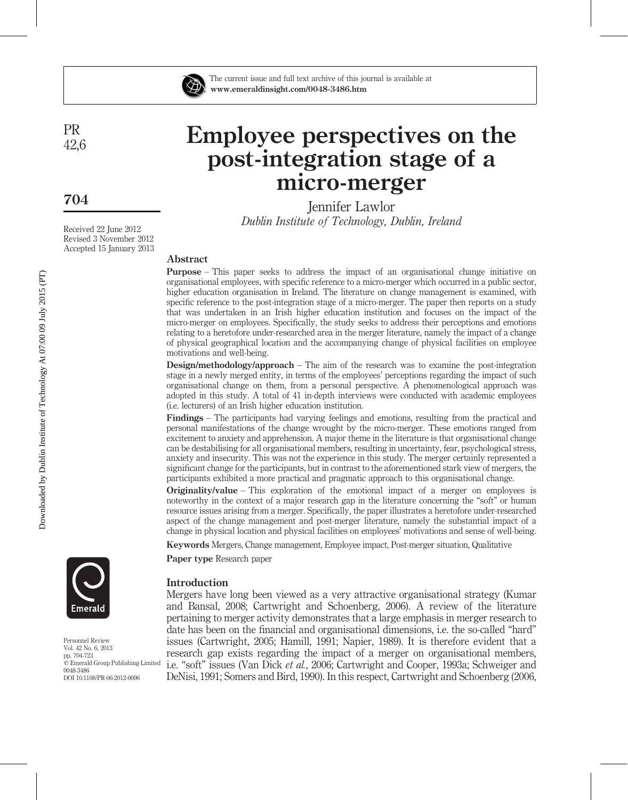

The current issue and full text archive of this journal is available at www.emeraldinsight.com/0048-3486.htm

# Employee perspectives on the post-integration stage of a micro-merger

Jennifer Lawlor Dublin Institute of Technology, Dublin, Ireland

## Abstract

Purpose – This paper seeks to address the impact of an organisational change initiative on organisational employees, with specific reference to a micro-merger which occurred in a public sector, higher education organisation in Ireland. The literature on change management is examined, with specific reference to the post-integration stage of a micro-merger. The paper then reports on a study that was undertaken in an Irish higher education institution and focuses on the impact of the micro-merger on employees. Specifically, the study seeks to address their perceptions and emotions relating to a heretofore under-researched area in the merger literature, namely the impact of a change of physical geographical location and the accompanying change of physical facilities on employee motivations and well-being.

Design/methodology/approach – The aim of the research was to examine the post-integration stage in a newly merged entity, in terms of the employees' perceptions regarding the impact of such organisational change on them, from a personal perspective. A phenomenological approach was adopted in this study. A total of 41 in-depth interviews were conducted with academic employees (i.e. lecturers) of an Irish higher education institution.

Findings – The participants had varying feelings and emotions, resulting from the practical and personal manifestations of the change wrought by the micro-merger. These emotions ranged from excitement to anxiety and apprehension. A major theme in the literature is that organisational change can be destabilising for all organisational members, resulting in uncertainty, fear, psychological stress, anxiety and insecurity. This was not the experience in this study. The merger certainly represented a significant change for the participants, but in contrast to the aforementioned stark view of mergers, the participants exhibited a more practical and pragmatic approach to this organisational change.

Originality/value – This exploration of the emotional impact of a merger on employees is noteworthy in the context of a major research gap in the literature concerning the "soft" or human resource issues arising from a merger. Specifically, the paper illustrates a heretofore under-researched aspect of the change management and post-merger literature, namely the substantial impact of a change in physical location and physical facilities on employees' motivations and sense of well-being.

Keywords Mergers, Change management, Employee impact, Post-merger situation, Qualitative

Paper type Research paper



Mergers have long been viewed as a very attractive organisational strategy (Kumar and Bansal, 2008; Cartwright and Schoenberg, 2006). A review of the literature pertaining to merger activity demonstrates that a large emphasis in merger research to date has been on the financial and organisational dimensions, i.e. the so-called "hard" issues (Cartwright, 2005; Hamill, 1991; Napier, 1989). It is therefore evident that a research gap exists regarding the impact of a merger on organisational members, i.e. "soft" issues (Van Dick et al., 2006; Cartwright and Cooper, 1993a; Schweiger and DeNisi, 1991; Somers and Bird, 1990). In this respect, Cartwright and Schoenberg (2006,



Personnel Review Vol. 42 No. 6, 2013 pp. 704-723 <sup>11</sup> Emerald Group Publishing Limited 0048-3486 DOI 10.1108/PR-06-2012-0096

PR 42,6

704

Received 22 June 2012 Revised 3 November 2012 Accepted 15 January 2013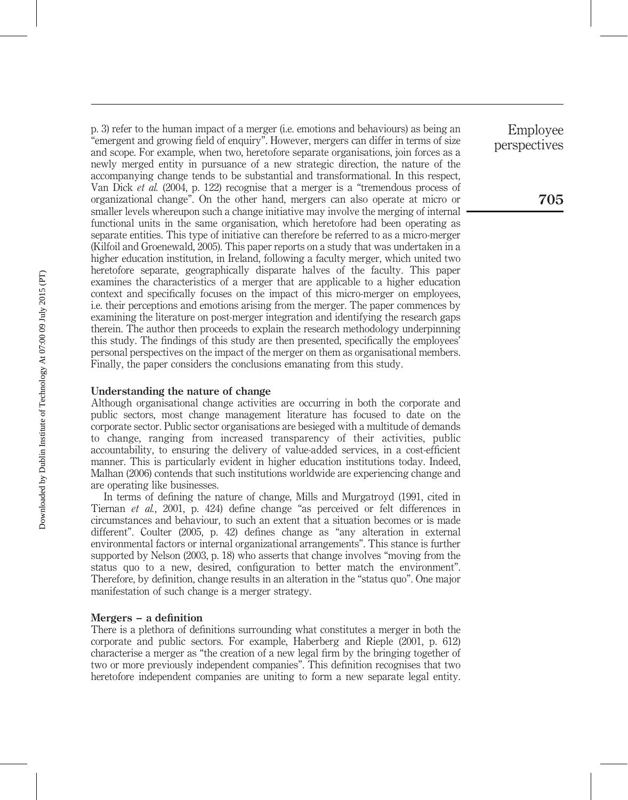p. 3) refer to the human impact of a merger (i.e. emotions and behaviours) as being an "emergent and growing field of enquiry". However, mergers can differ in terms of size and scope. For example, when two, heretofore separate organisations, join forces as a newly merged entity in pursuance of a new strategic direction, the nature of the accompanying change tends to be substantial and transformational. In this respect, Van Dick et al. (2004, p. 122) recognise that a merger is a "tremendous process of organizational change". On the other hand, mergers can also operate at micro or smaller levels whereupon such a change initiative may involve the merging of internal functional units in the same organisation, which heretofore had been operating as separate entities. This type of initiative can therefore be referred to as a micro-merger (Kilfoil and Groenewald, 2005). This paper reports on a study that was undertaken in a higher education institution, in Ireland, following a faculty merger, which united two heretofore separate, geographically disparate halves of the faculty. This paper examines the characteristics of a merger that are applicable to a higher education context and specifically focuses on the impact of this micro-merger on employees, i.e. their perceptions and emotions arising from the merger. The paper commences by examining the literature on post-merger integration and identifying the research gaps therein. The author then proceeds to explain the research methodology underpinning this study. The findings of this study are then presented, specifically the employees' personal perspectives on the impact of the merger on them as organisational members. Finally, the paper considers the conclusions emanating from this study.

## Understanding the nature of change

Although organisational change activities are occurring in both the corporate and public sectors, most change management literature has focused to date on the corporate sector. Public sector organisations are besieged with a multitude of demands to change, ranging from increased transparency of their activities, public accountability, to ensuring the delivery of value-added services, in a cost-efficient manner. This is particularly evident in higher education institutions today. Indeed, Malhan (2006) contends that such institutions worldwide are experiencing change and are operating like businesses.

In terms of defining the nature of change, Mills and Murgatroyd (1991, cited in Tiernan et al., 2001, p. 424) define change "as perceived or felt differences in circumstances and behaviour, to such an extent that a situation becomes or is made different". Coulter (2005, p. 42) defines change as "any alteration in external environmental factors or internal organizational arrangements". This stance is further supported by Nelson (2003, p. 18) who asserts that change involves "moving from the status quo to a new, desired, configuration to better match the environment". Therefore, by definition, change results in an alteration in the "status quo". One major manifestation of such change is a merger strategy.

## Mergers – a definition

There is a plethora of definitions surrounding what constitutes a merger in both the corporate and public sectors. For example, Haberberg and Rieple (2001, p. 612) characterise a merger as "the creation of a new legal firm by the bringing together of two or more previously independent companies". This definition recognises that two heretofore independent companies are uniting to form a new separate legal entity.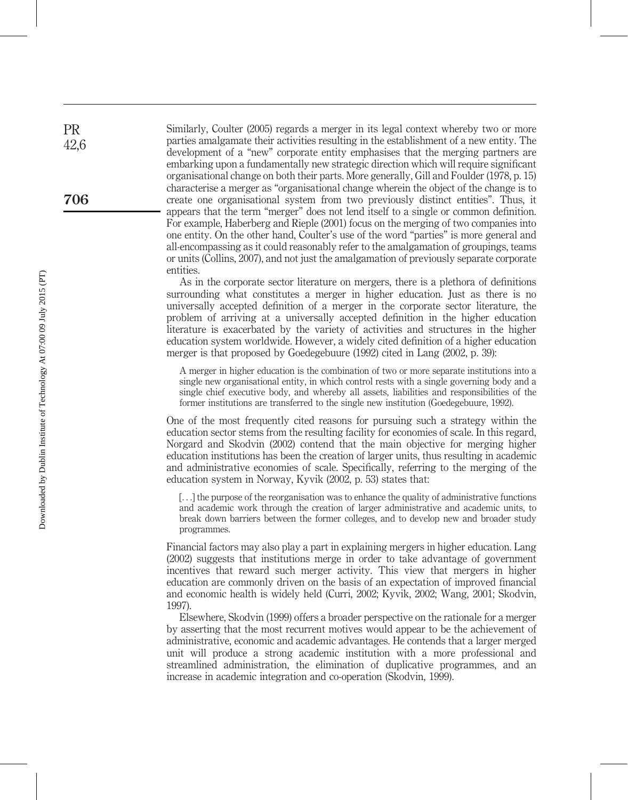Similarly, Coulter (2005) regards a merger in its legal context whereby two or more parties amalgamate their activities resulting in the establishment of a new entity. The development of a "new" corporate entity emphasises that the merging partners are embarking upon a fundamentally new strategic direction which will require significant organisational change on both their parts. More generally, Gill and Foulder (1978, p. 15) characterise a merger as "organisational change wherein the object of the change is to create one organisational system from two previously distinct entities". Thus, it appears that the term "merger" does not lend itself to a single or common definition. For example, Haberberg and Rieple (2001) focus on the merging of two companies into one entity. On the other hand, Coulter's use of the word "parties" is more general and all-encompassing as it could reasonably refer to the amalgamation of groupings, teams or units (Collins, 2007), and not just the amalgamation of previously separate corporate entities.

As in the corporate sector literature on mergers, there is a plethora of definitions surrounding what constitutes a merger in higher education. Just as there is no universally accepted definition of a merger in the corporate sector literature, the problem of arriving at a universally accepted definition in the higher education literature is exacerbated by the variety of activities and structures in the higher education system worldwide. However, a widely cited definition of a higher education merger is that proposed by Goedegebuure (1992) cited in Lang (2002, p. 39):

A merger in higher education is the combination of two or more separate institutions into a single new organisational entity, in which control rests with a single governing body and a single chief executive body, and whereby all assets, liabilities and responsibilities of the former institutions are transferred to the single new institution (Goedegebuure, 1992).

One of the most frequently cited reasons for pursuing such a strategy within the education sector stems from the resulting facility for economies of scale. In this regard, Norgard and Skodvin (2002) contend that the main objective for merging higher education institutions has been the creation of larger units, thus resulting in academic and administrative economies of scale. Specifically, referring to the merging of the education system in Norway, Kyvik (2002, p. 53) states that:

[...] the purpose of the reorganisation was to enhance the quality of administrative functions and academic work through the creation of larger administrative and academic units, to break down barriers between the former colleges, and to develop new and broader study programmes.

Financial factors may also play a part in explaining mergers in higher education. Lang (2002) suggests that institutions merge in order to take advantage of government incentives that reward such merger activity. This view that mergers in higher education are commonly driven on the basis of an expectation of improved financial and economic health is widely held (Curri, 2002; Kyvik, 2002; Wang, 2001; Skodvin, 1997).

Elsewhere, Skodvin (1999) offers a broader perspective on the rationale for a merger by asserting that the most recurrent motives would appear to be the achievement of administrative, economic and academic advantages. He contends that a larger merged unit will produce a strong academic institution with a more professional and streamlined administration, the elimination of duplicative programmes, and an increase in academic integration and co-operation (Skodvin, 1999).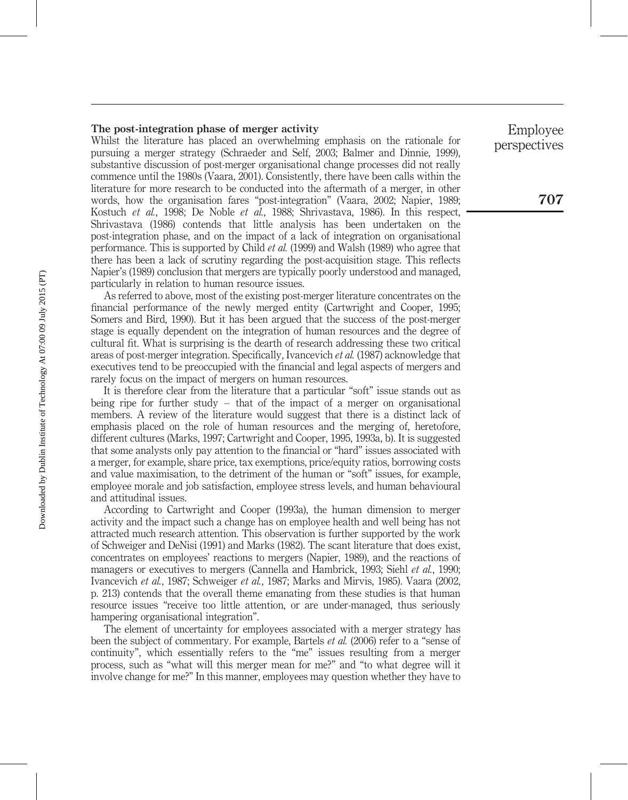#### The post-integration phase of merger activity

Whilst the literature has placed an overwhelming emphasis on the rationale for pursuing a merger strategy (Schraeder and Self, 2003; Balmer and Dinnie, 1999), substantive discussion of post-merger organisational change processes did not really commence until the 1980s (Vaara, 2001). Consistently, there have been calls within the literature for more research to be conducted into the aftermath of a merger, in other words, how the organisation fares "post-integration" (Vaara, 2002; Napier, 1989; Kostuch et al., 1998; De Noble et al., 1988; Shrivastava, 1986). In this respect, Shrivastava (1986) contends that little analysis has been undertaken on the post-integration phase, and on the impact of a lack of integration on organisational performance. This is supported by Child et al. (1999) and Walsh (1989) who agree that there has been a lack of scrutiny regarding the post-acquisition stage. This reflects Napier's (1989) conclusion that mergers are typically poorly understood and managed, particularly in relation to human resource issues.

As referred to above, most of the existing post-merger literature concentrates on the financial performance of the newly merged entity (Cartwright and Cooper, 1995; Somers and Bird, 1990). But it has been argued that the success of the post-merger stage is equally dependent on the integration of human resources and the degree of cultural fit. What is surprising is the dearth of research addressing these two critical areas of post-merger integration. Specifically, Ivancevich et al. (1987) acknowledge that executives tend to be preoccupied with the financial and legal aspects of mergers and rarely focus on the impact of mergers on human resources.

It is therefore clear from the literature that a particular "soft" issue stands out as being ripe for further study – that of the impact of a merger on organisational members. A review of the literature would suggest that there is a distinct lack of emphasis placed on the role of human resources and the merging of, heretofore, different cultures (Marks, 1997; Cartwright and Cooper, 1995, 1993a, b). It is suggested that some analysts only pay attention to the financial or "hard" issues associated with a merger, for example, share price, tax exemptions, price/equity ratios, borrowing costs and value maximisation, to the detriment of the human or "soft" issues, for example, employee morale and job satisfaction, employee stress levels, and human behavioural and attitudinal issues.

According to Cartwright and Cooper (1993a), the human dimension to merger activity and the impact such a change has on employee health and well being has not attracted much research attention. This observation is further supported by the work of Schweiger and DeNisi (1991) and Marks (1982). The scant literature that does exist, concentrates on employees' reactions to mergers (Napier, 1989), and the reactions of managers or executives to mergers (Cannella and Hambrick, 1993; Siehl *et al.*, 1990; Ivancevich et al., 1987; Schweiger et al., 1987; Marks and Mirvis, 1985). Vaara (2002, p. 213) contends that the overall theme emanating from these studies is that human resource issues "receive too little attention, or are under-managed, thus seriously hampering organisational integration".

The element of uncertainty for employees associated with a merger strategy has been the subject of commentary. For example, Bartels et al. (2006) refer to a "sense of continuity", which essentially refers to the "me" issues resulting from a merger process, such as "what will this merger mean for me?" and "to what degree will it involve change for me?" In this manner, employees may question whether they have to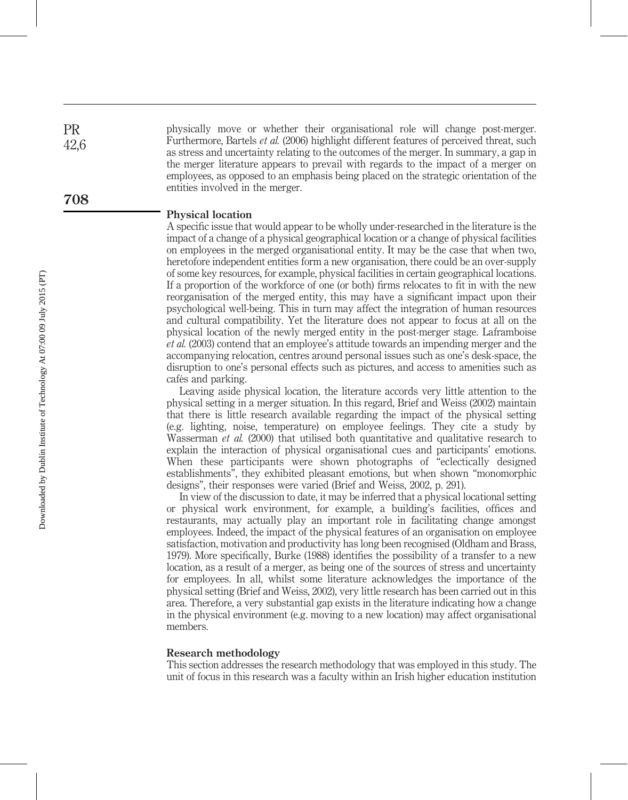physically move or whether their organisational role will change post-merger. Furthermore, Bartels et al. (2006) highlight different features of perceived threat, such as stress and uncertainty relating to the outcomes of the merger. In summary, a gap in the merger literature appears to prevail with regards to the impact of a merger on employees, as opposed to an emphasis being placed on the strategic orientation of the entities involved in the merger.

#### Physical location

A specific issue that would appear to be wholly under-researched in the literature is the impact of a change of a physical geographical location or a change of physical facilities on employees in the merged organisational entity. It may be the case that when two, heretofore independent entities form a new organisation, there could be an over-supply of some key resources, for example, physical facilities in certain geographical locations. If a proportion of the workforce of one (or both) firms relocates to fit in with the new reorganisation of the merged entity, this may have a significant impact upon their psychological well-being. This in turn may affect the integration of human resources and cultural compatibility. Yet the literature does not appear to focus at all on the physical location of the newly merged entity in the post-merger stage. Laframboise et al. (2003) contend that an employee's attitude towards an impending merger and the accompanying relocation, centres around personal issues such as one's desk-space, the disruption to one's personal effects such as pictures, and access to amenities such as cafés and parking.

Leaving aside physical location, the literature accords very little attention to the physical setting in a merger situation. In this regard, Brief and Weiss (2002) maintain that there is little research available regarding the impact of the physical setting (e.g. lighting, noise, temperature) on employee feelings. They cite a study by Wasserman *et al.* (2000) that utilised both quantitative and qualitative research to explain the interaction of physical organisational cues and participants' emotions. When these participants were shown photographs of "eclectically designed establishments", they exhibited pleasant emotions, but when shown "monomorphic designs", their responses were varied (Brief and Weiss, 2002, p. 291).

In view of the discussion to date, it may be inferred that a physical locational setting or physical work environment, for example, a building's facilities, offices and restaurants, may actually play an important role in facilitating change amongst employees. Indeed, the impact of the physical features of an organisation on employee satisfaction, motivation and productivity has long been recognised (Oldham and Brass, 1979). More specifically, Burke (1988) identifies the possibility of a transfer to a new location, as a result of a merger, as being one of the sources of stress and uncertainty for employees. In all, whilst some literature acknowledges the importance of the physical setting (Brief and Weiss, 2002), very little research has been carried out in this area. Therefore, a very substantial gap exists in the literature indicating how a change in the physical environment (e.g. moving to a new location) may affect organisational members.

#### Research methodology

This section addresses the research methodology that was employed in this study. The unit of focus in this research was a faculty within an Irish higher education institution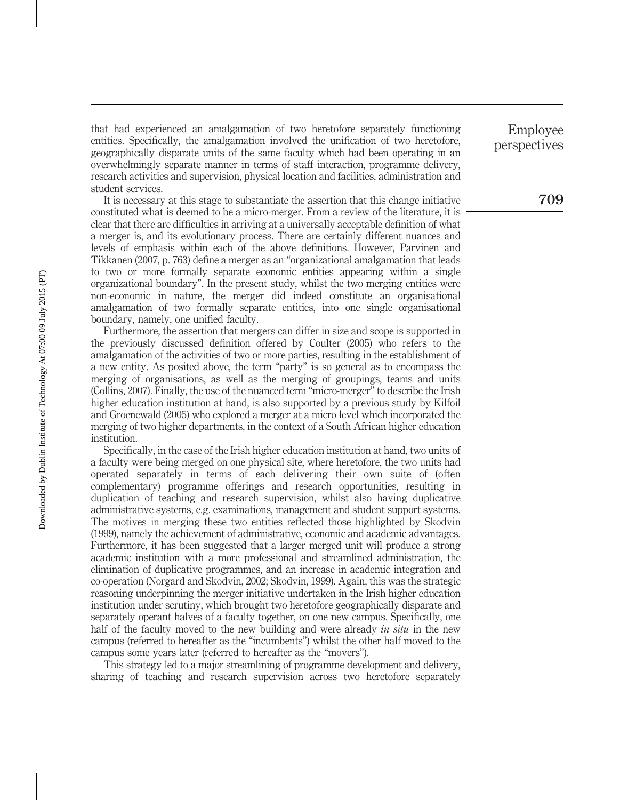that had experienced an amalgamation of two heretofore separately functioning entities. Specifically, the amalgamation involved the unification of two heretofore, geographically disparate units of the same faculty which had been operating in an overwhelmingly separate manner in terms of staff interaction, programme delivery, research activities and supervision, physical location and facilities, administration and student services.

It is necessary at this stage to substantiate the assertion that this change initiative constituted what is deemed to be a micro-merger. From a review of the literature, it is clear that there are difficulties in arriving at a universally acceptable definition of what a merger is, and its evolutionary process. There are certainly different nuances and levels of emphasis within each of the above definitions. However, Parvinen and Tikkanen (2007, p. 763) define a merger as an "organizational amalgamation that leads to two or more formally separate economic entities appearing within a single organizational boundary". In the present study, whilst the two merging entities were non-economic in nature, the merger did indeed constitute an organisational amalgamation of two formally separate entities, into one single organisational boundary, namely, one unified faculty.

Furthermore, the assertion that mergers can differ in size and scope is supported in the previously discussed definition offered by Coulter (2005) who refers to the amalgamation of the activities of two or more parties, resulting in the establishment of a new entity. As posited above, the term "party" is so general as to encompass the merging of organisations, as well as the merging of groupings, teams and units (Collins, 2007). Finally, the use of the nuanced term "micro-merger" to describe the Irish higher education institution at hand, is also supported by a previous study by Kilfoil and Groenewald (2005) who explored a merger at a micro level which incorporated the merging of two higher departments, in the context of a South African higher education institution.

Specifically, in the case of the Irish higher education institution at hand, two units of a faculty were being merged on one physical site, where heretofore, the two units had operated separately in terms of each delivering their own suite of (often complementary) programme offerings and research opportunities, resulting in duplication of teaching and research supervision, whilst also having duplicative administrative systems, e.g. examinations, management and student support systems. The motives in merging these two entities reflected those highlighted by Skodvin (1999), namely the achievement of administrative, economic and academic advantages. Furthermore, it has been suggested that a larger merged unit will produce a strong academic institution with a more professional and streamlined administration, the elimination of duplicative programmes, and an increase in academic integration and co-operation (Norgard and Skodvin, 2002; Skodvin, 1999). Again, this was the strategic reasoning underpinning the merger initiative undertaken in the Irish higher education institution under scrutiny, which brought two heretofore geographically disparate and separately operant halves of a faculty together, on one new campus. Specifically, one half of the faculty moved to the new building and were already in situ in the new campus (referred to hereafter as the "incumbents") whilst the other half moved to the campus some years later (referred to hereafter as the "movers").

This strategy led to a major streamlining of programme development and delivery, sharing of teaching and research supervision across two heretofore separately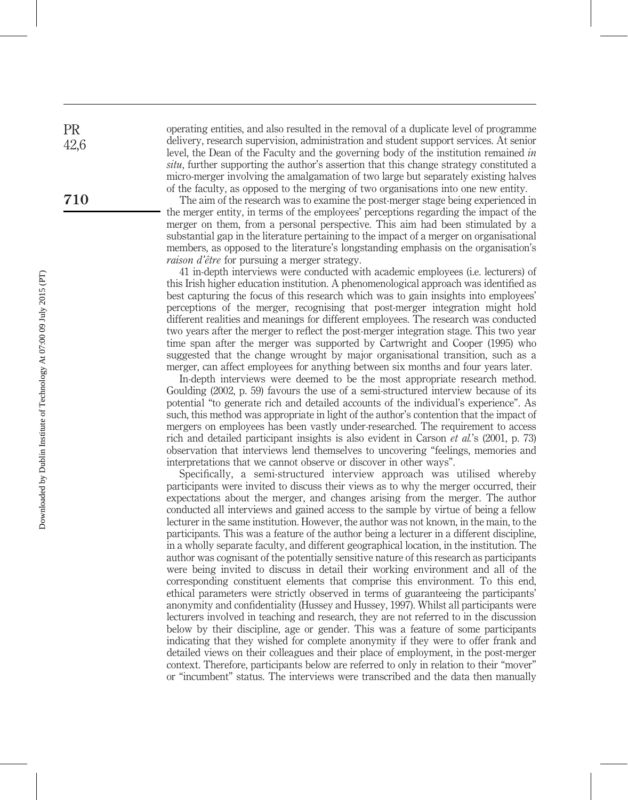operating entities, and also resulted in the removal of a duplicate level of programme delivery, research supervision, administration and student support services. At senior level, the Dean of the Faculty and the governing body of the institution remained in situ, further supporting the author's assertion that this change strategy constituted a micro-merger involving the amalgamation of two large but separately existing halves of the faculty, as opposed to the merging of two organisations into one new entity.

The aim of the research was to examine the post-merger stage being experienced in the merger entity, in terms of the employees' perceptions regarding the impact of the merger on them, from a personal perspective. This aim had been stimulated by a substantial gap in the literature pertaining to the impact of a merger on organisational members, as opposed to the literature's longstanding emphasis on the organisation's raison d'être for pursuing a merger strategy.

41 in-depth interviews were conducted with academic employees (i.e. lecturers) of this Irish higher education institution. A phenomenological approach was identified as best capturing the focus of this research which was to gain insights into employees' perceptions of the merger, recognising that post-merger integration might hold different realities and meanings for different employees. The research was conducted two years after the merger to reflect the post-merger integration stage. This two year time span after the merger was supported by Cartwright and Cooper (1995) who suggested that the change wrought by major organisational transition, such as a merger, can affect employees for anything between six months and four years later.

In-depth interviews were deemed to be the most appropriate research method. Goulding (2002, p. 59) favours the use of a semi-structured interview because of its potential "to generate rich and detailed accounts of the individual's experience". As such, this method was appropriate in light of the author's contention that the impact of mergers on employees has been vastly under-researched. The requirement to access rich and detailed participant insights is also evident in Carson et al.'s (2001, p. 73) observation that interviews lend themselves to uncovering "feelings, memories and interpretations that we cannot observe or discover in other ways".

Specifically, a semi-structured interview approach was utilised whereby participants were invited to discuss their views as to why the merger occurred, their expectations about the merger, and changes arising from the merger. The author conducted all interviews and gained access to the sample by virtue of being a fellow lecturer in the same institution. However, the author was not known, in the main, to the participants. This was a feature of the author being a lecturer in a different discipline, in a wholly separate faculty, and different geographical location, in the institution. The author was cognisant of the potentially sensitive nature of this research as participants were being invited to discuss in detail their working environment and all of the corresponding constituent elements that comprise this environment. To this end, ethical parameters were strictly observed in terms of guaranteeing the participants' anonymity and confidentiality (Hussey and Hussey, 1997). Whilst all participants were lecturers involved in teaching and research, they are not referred to in the discussion below by their discipline, age or gender. This was a feature of some participants indicating that they wished for complete anonymity if they were to offer frank and detailed views on their colleagues and their place of employment, in the post-merger context. Therefore, participants below are referred to only in relation to their "mover" or "incumbent" status. The interviews were transcribed and the data then manually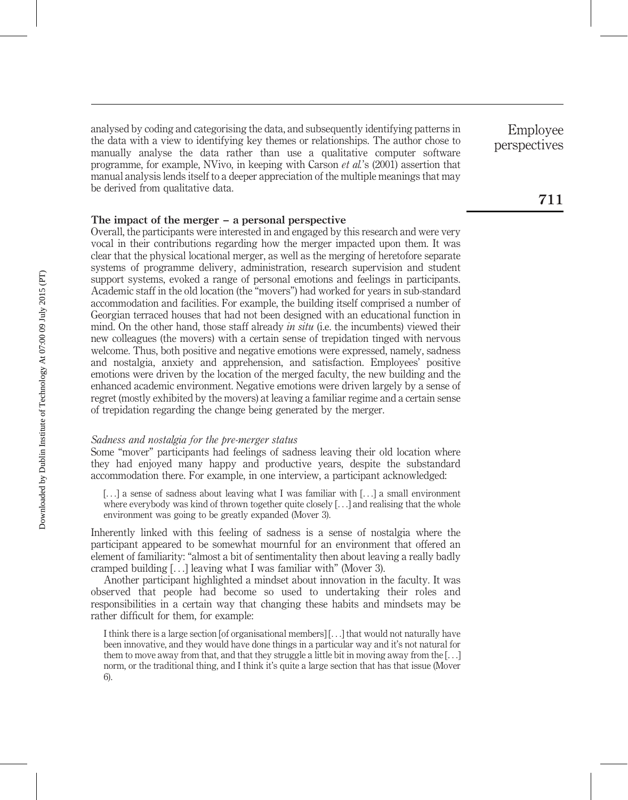analysed by coding and categorising the data, and subsequently identifying patterns in the data with a view to identifying key themes or relationships. The author chose to manually analyse the data rather than use a qualitative computer software programme, for example, NVivo, in keeping with Carson et al.'s (2001) assertion that manual analysis lends itself to a deeper appreciation of the multiple meanings that may be derived from qualitative data.

## The impact of the merger – a personal perspective

Overall, the participants were interested in and engaged by this research and were very vocal in their contributions regarding how the merger impacted upon them. It was clear that the physical locational merger, as well as the merging of heretofore separate systems of programme delivery, administration, research supervision and student support systems, evoked a range of personal emotions and feelings in participants. Academic staff in the old location (the "movers") had worked for years in sub-standard accommodation and facilities. For example, the building itself comprised a number of Georgian terraced houses that had not been designed with an educational function in mind. On the other hand, those staff already in situ (i.e. the incumbents) viewed their new colleagues (the movers) with a certain sense of trepidation tinged with nervous welcome. Thus, both positive and negative emotions were expressed, namely, sadness and nostalgia, anxiety and apprehension, and satisfaction. Employees' positive emotions were driven by the location of the merged faculty, the new building and the enhanced academic environment. Negative emotions were driven largely by a sense of regret (mostly exhibited by the movers) at leaving a familiar regime and a certain sense of trepidation regarding the change being generated by the merger.

## Sadness and nostalgia for the pre-merger status

Some "mover" participants had feelings of sadness leaving their old location where they had enjoyed many happy and productive years, despite the substandard accommodation there. For example, in one interview, a participant acknowledged:

[...] a sense of sadness about leaving what I was familiar with [...] a small environment where everybody was kind of thrown together quite closely [...] and realising that the whole environment was going to be greatly expanded (Mover 3).

Inherently linked with this feeling of sadness is a sense of nostalgia where the participant appeared to be somewhat mournful for an environment that offered an element of familiarity: "almost a bit of sentimentality then about leaving a really badly cramped building [...] leaving what I was familiar with" (Mover 3).

Another participant highlighted a mindset about innovation in the faculty. It was observed that people had become so used to undertaking their roles and responsibilities in a certain way that changing these habits and mindsets may be rather difficult for them, for example:

I think there is a large section [of organisational members] [...] that would not naturally have been innovative, and they would have done things in a particular way and it's not natural for them to move away from that, and that they struggle a little bit in moving away from the  $[\ldots]$ norm, or the traditional thing, and I think it's quite a large section that has that issue (Mover 6).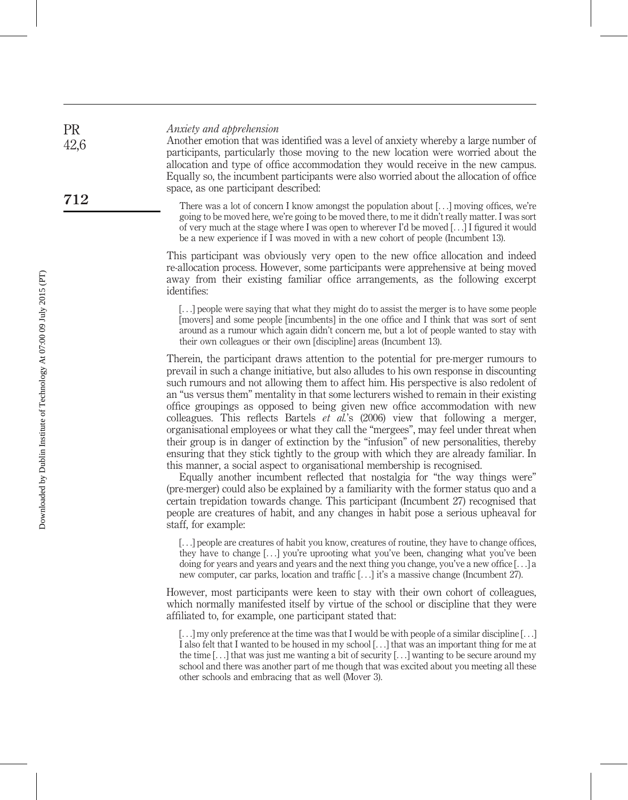#### Anxiety and apprehension

Another emotion that was identified was a level of anxiety whereby a large number of participants, particularly those moving to the new location were worried about the allocation and type of office accommodation they would receive in the new campus. Equally so, the incumbent participants were also worried about the allocation of office space, as one participant described:

There was a lot of concern I know amongst the population about [...] moving offices, we're going to be moved here, we're going to be moved there, to me it didn't really matter. I was sort of very much at the stage where I was open to wherever I'd be moved [...] I figured it would be a new experience if I was moved in with a new cohort of people (Incumbent 13).

This participant was obviously very open to the new office allocation and indeed re-allocation process. However, some participants were apprehensive at being moved away from their existing familiar office arrangements, as the following excerpt identifies:

[...] people were saying that what they might do to assist the merger is to have some people [movers] and some people [incumbents] in the one office and I think that was sort of sent around as a rumour which again didn't concern me, but a lot of people wanted to stay with their own colleagues or their own [discipline] areas (Incumbent 13).

Therein, the participant draws attention to the potential for pre-merger rumours to prevail in such a change initiative, but also alludes to his own response in discounting such rumours and not allowing them to affect him. His perspective is also redolent of an "us versus them" mentality in that some lecturers wished to remain in their existing office groupings as opposed to being given new office accommodation with new colleagues. This reflects Bartels et al.'s (2006) view that following a merger, organisational employees or what they call the "mergees", may feel under threat when their group is in danger of extinction by the "infusion" of new personalities, thereby ensuring that they stick tightly to the group with which they are already familiar. In this manner, a social aspect to organisational membership is recognised.

Equally another incumbent reflected that nostalgia for "the way things were" (pre-merger) could also be explained by a familiarity with the former status quo and a certain trepidation towards change. This participant (Incumbent 27) recognised that people are creatures of habit, and any changes in habit pose a serious upheaval for staff, for example:

[...] people are creatures of habit you know, creatures of routine, they have to change offices, they have to change [...] you're uprooting what you've been, changing what you've been doing for years and years and years and the next thing you change, you've a new office  $[\ldots]$  a new computer, car parks, location and traffic [...] it's a massive change (Incumbent 27).

However, most participants were keen to stay with their own cohort of colleagues, which normally manifested itself by virtue of the school or discipline that they were affiliated to, for example, one participant stated that:

PR 42,6

<sup>[</sup>...] my only preference at the time was that I would be with people of a similar discipline [...] I also felt that I wanted to be housed in my school [...] that was an important thing for me at the time [...] that was just me wanting a bit of security [...] wanting to be secure around my school and there was another part of me though that was excited about you meeting all these other schools and embracing that as well (Mover 3).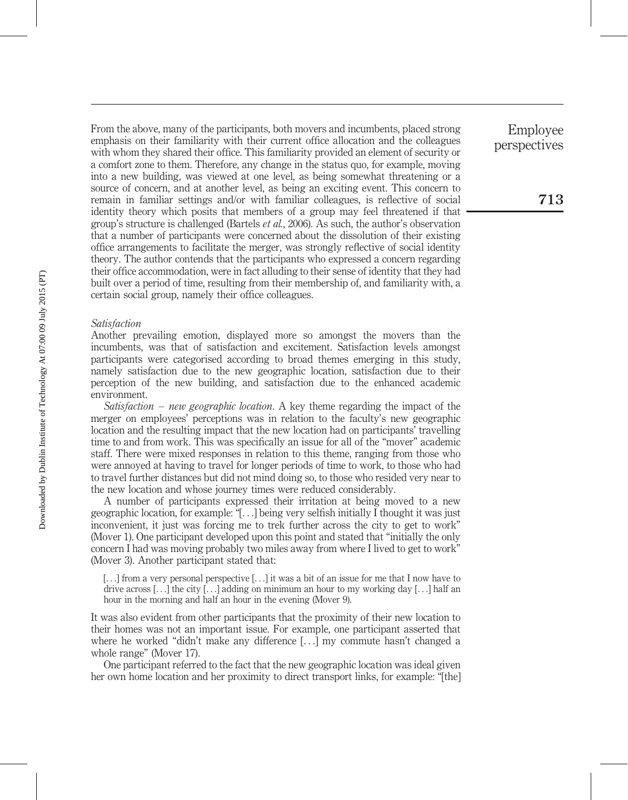From the above, many of the participants, both movers and incumbents, placed strong emphasis on their familiarity with their current office allocation and the colleagues with whom they shared their office. This familiarity provided an element of security or a comfort zone to them. Therefore, any change in the status quo, for example, moving into a new building, was viewed at one level, as being somewhat threatening or a source of concern, and at another level, as being an exciting event. This concern to remain in familiar settings and/or with familiar colleagues, is reflective of social identity theory which posits that members of a group may feel threatened if that group's structure is challenged (Bartels et al., 2006). As such, the author's observation that a number of participants were concerned about the dissolution of their existing office arrangements to facilitate the merger, was strongly reflective of social identity theory. The author contends that the participants who expressed a concern regarding their office accommodation, were in fact alluding to their sense of identity that they had built over a period of time, resulting from their membership of, and familiarity with, a certain social group, namely their office colleagues.

## Satisfaction

Another prevailing emotion, displayed more so amongst the movers than the incumbents, was that of satisfaction and excitement. Satisfaction levels amongst participants were categorised according to broad themes emerging in this study, namely satisfaction due to the new geographic location, satisfaction due to their perception of the new building, and satisfaction due to the enhanced academic environment.

Satisfaction – new geographic location. A key theme regarding the impact of the merger on employees' perceptions was in relation to the faculty's new geographic location and the resulting impact that the new location had on participants' travelling time to and from work. This was specifically an issue for all of the "mover" academic staff. There were mixed responses in relation to this theme, ranging from those who were annoyed at having to travel for longer periods of time to work, to those who had to travel further distances but did not mind doing so, to those who resided very near to the new location and whose journey times were reduced considerably.

A number of participants expressed their irritation at being moved to a new geographic location, for example: "[...] being very selfish initially I thought it was just inconvenient, it just was forcing me to trek further across the city to get to work" (Mover 1). One participant developed upon this point and stated that "initially the only concern I had was moving probably two miles away from where I lived to get to work" (Mover 3). Another participant stated that:

[...] from a very personal perspective [...] it was a bit of an issue for me that I now have to drive across [...] the city [...] adding on minimum an hour to my working day [...] half an hour in the morning and half an hour in the evening (Mover 9).

It was also evident from other participants that the proximity of their new location to their homes was not an important issue. For example, one participant asserted that where he worked "didn't make any difference [...] my commute hasn't changed a whole range" (Mover 17).

One participant referred to the fact that the new geographic location was ideal given her own home location and her proximity to direct transport links, for example: "[the]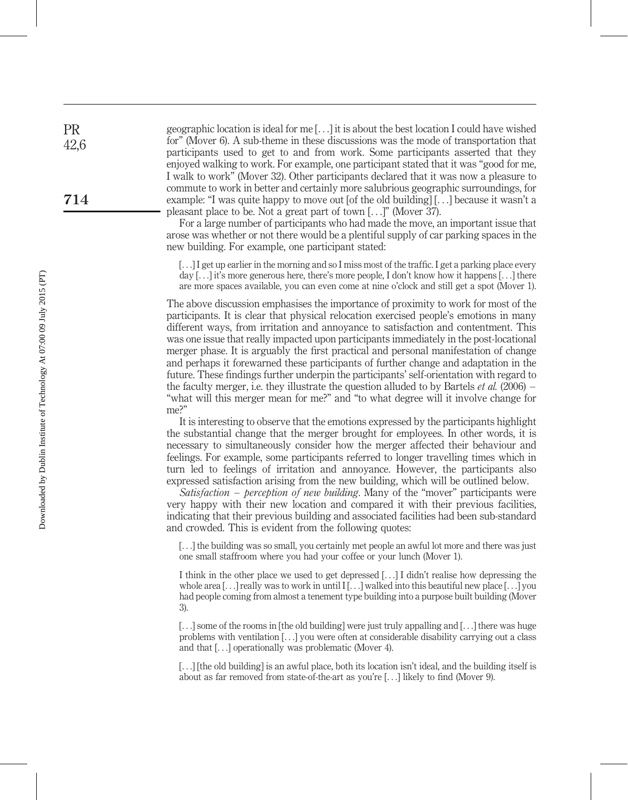geographic location is ideal for me [...] it is about the best location I could have wished for" (Mover 6). A sub-theme in these discussions was the mode of transportation that participants used to get to and from work. Some participants asserted that they enjoyed walking to work. For example, one participant stated that it was "good for me, I walk to work" (Mover 32). Other participants declared that it was now a pleasure to commute to work in better and certainly more salubrious geographic surroundings, for example: "I was quite happy to move out [of the old building] [...] because it wasn't a pleasant place to be. Not a great part of town [...]" (Mover 37).

For a large number of participants who had made the move, an important issue that arose was whether or not there would be a plentiful supply of car parking spaces in the new building. For example, one participant stated:

[...] I get up earlier in the morning and so I miss most of the traffic. I get a parking place every day [...] it's more generous here, there's more people, I don't know how it happens [...] there are more spaces available, you can even come at nine o'clock and still get a spot (Mover 1).

The above discussion emphasises the importance of proximity to work for most of the participants. It is clear that physical relocation exercised people's emotions in many different ways, from irritation and annoyance to satisfaction and contentment. This was one issue that really impacted upon participants immediately in the post-locational merger phase. It is arguably the first practical and personal manifestation of change and perhaps it forewarned these participants of further change and adaptation in the future. These findings further underpin the participants' self-orientation with regard to the faculty merger, i.e. they illustrate the question alluded to by Bartels *et al.* (2006) – "what will this merger mean for me?" and "to what degree will it involve change for me?"

It is interesting to observe that the emotions expressed by the participants highlight the substantial change that the merger brought for employees. In other words, it is necessary to simultaneously consider how the merger affected their behaviour and feelings. For example, some participants referred to longer travelling times which in turn led to feelings of irritation and annoyance. However, the participants also expressed satisfaction arising from the new building, which will be outlined below.

Satisfaction – perception of new building. Many of the "mover" participants were very happy with their new location and compared it with their previous facilities, indicating that their previous building and associated facilities had been sub-standard and crowded. This is evident from the following quotes:

[...] the building was so small, you certainly met people an awful lot more and there was just one small staffroom where you had your coffee or your lunch (Mover 1).

I think in the other place we used to get depressed [...] I didn't realise how depressing the whole area  $[\ldots]$  really was to work in until  $[\ldots]$  walked into this beautiful new place  $[\ldots]$  you had people coming from almost a tenement type building into a purpose built building (Mover 3).

[...] some of the rooms in [the old building] were just truly appalling and [...] there was huge problems with ventilation [...] you were often at considerable disability carrying out a class and that [...] operationally was problematic (Mover 4).

[...] [the old building] is an awful place, both its location isn't ideal, and the building itself is about as far removed from state-of-the-art as you're [...] likely to find (Mover 9).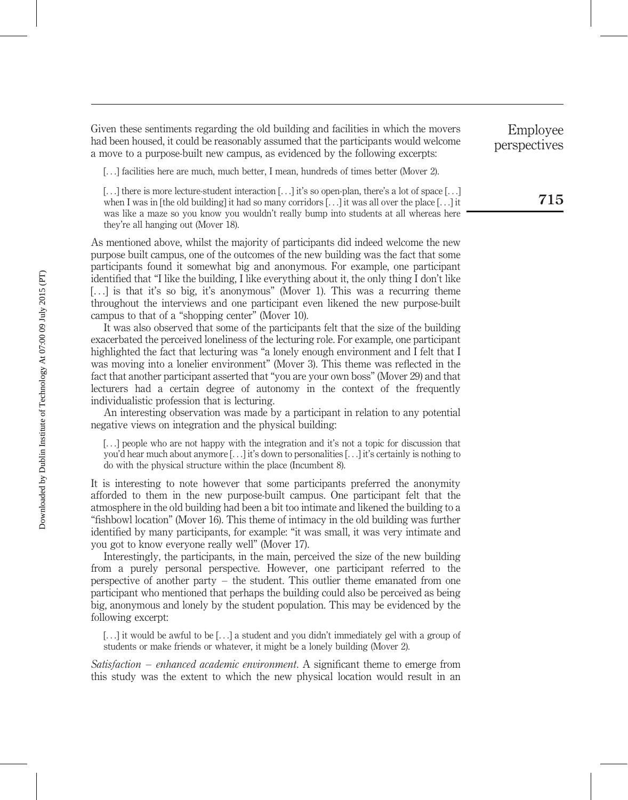Given these sentiments regarding the old building and facilities in which the movers had been housed, it could be reasonably assumed that the participants would welcome a move to a purpose-built new campus, as evidenced by the following excerpts:

[...] facilities here are much, much better, I mean, hundreds of times better (Mover 2).

[...] there is more lecture-student interaction [...] it's so open-plan, there's a lot of space [...] when I was in [the old building] it had so many corridors [...] it was all over the place [...] it was like a maze so you know you wouldn't really bump into students at all whereas here they're all hanging out (Mover 18).

As mentioned above, whilst the majority of participants did indeed welcome the new purpose built campus, one of the outcomes of the new building was the fact that some participants found it somewhat big and anonymous. For example, one participant identified that "I like the building, I like everything about it, the only thing I don't like [...] is that it's so big, it's anonymous" (Mover 1). This was a recurring theme throughout the interviews and one participant even likened the new purpose-built campus to that of a "shopping center" (Mover 10).

It was also observed that some of the participants felt that the size of the building exacerbated the perceived loneliness of the lecturing role. For example, one participant highlighted the fact that lecturing was "a lonely enough environment and I felt that I was moving into a lonelier environment" (Mover 3). This theme was reflected in the fact that another participant asserted that "you are your own boss" (Mover 29) and that lecturers had a certain degree of autonomy in the context of the frequently individualistic profession that is lecturing.

An interesting observation was made by a participant in relation to any potential negative views on integration and the physical building:

[...] people who are not happy with the integration and it's not a topic for discussion that you'd hear much about anymore [...] it's down to personalities [...] it's certainly is nothing to do with the physical structure within the place (Incumbent 8).

It is interesting to note however that some participants preferred the anonymity afforded to them in the new purpose-built campus. One participant felt that the atmosphere in the old building had been a bit too intimate and likened the building to a "fishbowl location" (Mover 16). This theme of intimacy in the old building was further identified by many participants, for example: "it was small, it was very intimate and you got to know everyone really well" (Mover 17).

Interestingly, the participants, in the main, perceived the size of the new building from a purely personal perspective. However, one participant referred to the perspective of another party – the student. This outlier theme emanated from one participant who mentioned that perhaps the building could also be perceived as being big, anonymous and lonely by the student population. This may be evidenced by the following excerpt:

[...] it would be awful to be [...] a student and you didn't immediately gel with a group of students or make friends or whatever, it might be a lonely building (Mover 2).

Satisfaction – enhanced academic environment. A significant theme to emerge from this study was the extent to which the new physical location would result in an

Employee perspectives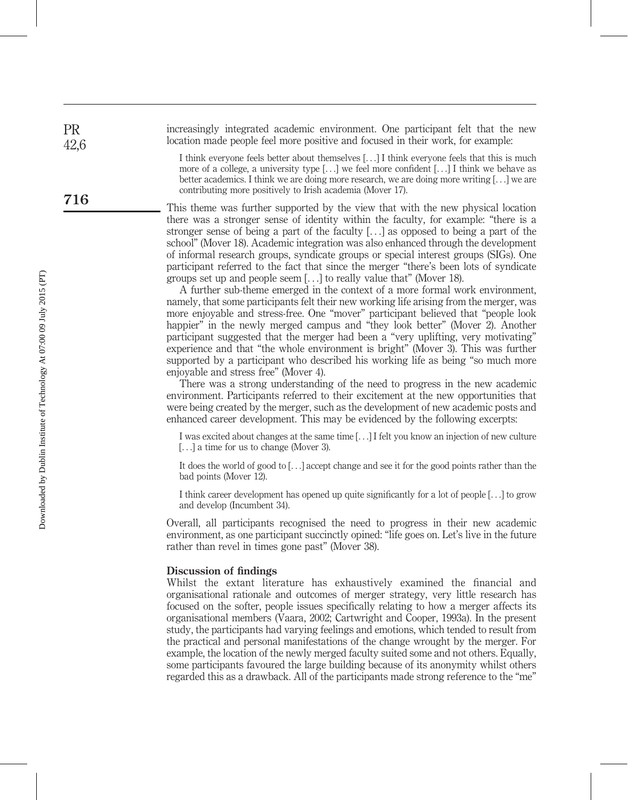increasingly integrated academic environment. One participant felt that the new location made people feel more positive and focused in their work, for example:

> I think everyone feels better about themselves [...] I think everyone feels that this is much more of a college, a university type [...] we feel more confident [...] I think we behave as better academics. I think we are doing more research, we are doing more writing [...] we are contributing more positively to Irish academia (Mover 17).

This theme was further supported by the view that with the new physical location there was a stronger sense of identity within the faculty, for example: "there is a stronger sense of being a part of the faculty [...] as opposed to being a part of the school" (Mover 18). Academic integration was also enhanced through the development of informal research groups, syndicate groups or special interest groups (SIGs). One participant referred to the fact that since the merger "there's been lots of syndicate groups set up and people seem [...] to really value that" (Mover 18).

A further sub-theme emerged in the context of a more formal work environment, namely, that some participants felt their new working life arising from the merger, was more enjoyable and stress-free. One "mover" participant believed that "people look happier" in the newly merged campus and "they look better" (Mover 2). Another participant suggested that the merger had been a "very uplifting, very motivating" experience and that "the whole environment is bright" (Mover 3). This was further supported by a participant who described his working life as being "so much more enjoyable and stress free" (Mover 4).

There was a strong understanding of the need to progress in the new academic environment. Participants referred to their excitement at the new opportunities that were being created by the merger, such as the development of new academic posts and enhanced career development. This may be evidenced by the following excerpts:

I was excited about changes at the same time [...] I felt you know an injection of new culture [...] a time for us to change (Mover 3).

It does the world of good to [...] accept change and see it for the good points rather than the bad points (Mover 12).

I think career development has opened up quite significantly for a lot of people [...] to grow and develop (Incumbent 34).

Overall, all participants recognised the need to progress in their new academic environment, as one participant succinctly opined: "life goes on. Let's live in the future rather than revel in times gone past" (Mover 38).

#### Discussion of findings

Whilst the extant literature has exhaustively examined the financial and organisational rationale and outcomes of merger strategy, very little research has focused on the softer, people issues specifically relating to how a merger affects its organisational members (Vaara, 2002; Cartwright and Cooper, 1993a). In the present study, the participants had varying feelings and emotions, which tended to result from the practical and personal manifestations of the change wrought by the merger. For example, the location of the newly merged faculty suited some and not others. Equally, some participants favoured the large building because of its anonymity whilst others regarded this as a drawback. All of the participants made strong reference to the "me"

PR 42,6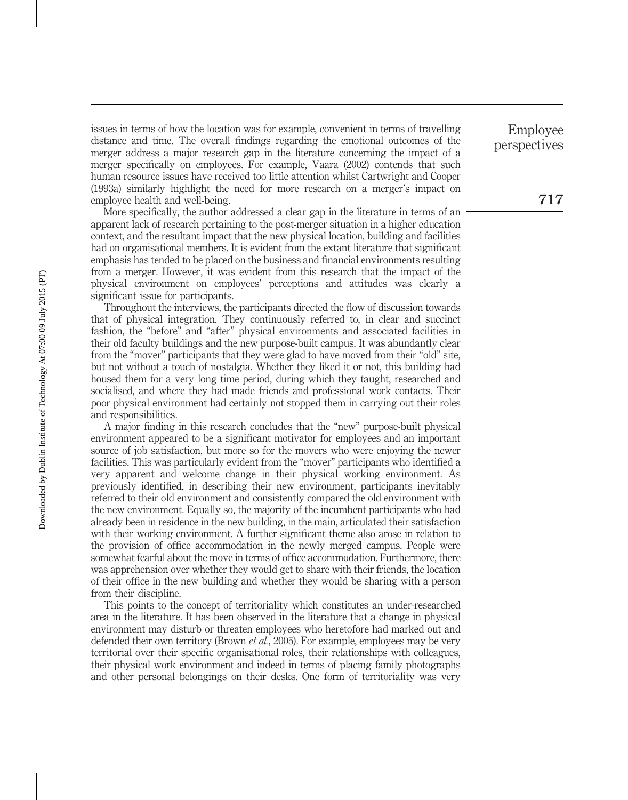issues in terms of how the location was for example, convenient in terms of travelling distance and time. The overall findings regarding the emotional outcomes of the merger address a major research gap in the literature concerning the impact of a merger specifically on employees. For example, Vaara (2002) contends that such human resource issues have received too little attention whilst Cartwright and Cooper (1993a) similarly highlight the need for more research on a merger's impact on employee health and well-being.

More specifically, the author addressed a clear gap in the literature in terms of an apparent lack of research pertaining to the post-merger situation in a higher education context, and the resultant impact that the new physical location, building and facilities had on organisational members. It is evident from the extant literature that significant emphasis has tended to be placed on the business and financial environments resulting from a merger. However, it was evident from this research that the impact of the physical environment on employees' perceptions and attitudes was clearly a significant issue for participants.

Throughout the interviews, the participants directed the flow of discussion towards that of physical integration. They continuously referred to, in clear and succinct fashion, the "before" and "after" physical environments and associated facilities in their old faculty buildings and the new purpose-built campus. It was abundantly clear from the "mover" participants that they were glad to have moved from their "old" site, but not without a touch of nostalgia. Whether they liked it or not, this building had housed them for a very long time period, during which they taught, researched and socialised, and where they had made friends and professional work contacts. Their poor physical environment had certainly not stopped them in carrying out their roles and responsibilities.

A major finding in this research concludes that the "new" purpose-built physical environment appeared to be a significant motivator for employees and an important source of job satisfaction, but more so for the movers who were enjoying the newer facilities. This was particularly evident from the "mover" participants who identified a very apparent and welcome change in their physical working environment. As previously identified, in describing their new environment, participants inevitably referred to their old environment and consistently compared the old environment with the new environment. Equally so, the majority of the incumbent participants who had already been in residence in the new building, in the main, articulated their satisfaction with their working environment. A further significant theme also arose in relation to the provision of office accommodation in the newly merged campus. People were somewhat fearful about the move in terms of office accommodation. Furthermore, there was apprehension over whether they would get to share with their friends, the location of their office in the new building and whether they would be sharing with a person from their discipline.

This points to the concept of territoriality which constitutes an under-researched area in the literature. It has been observed in the literature that a change in physical environment may disturb or threaten employees who heretofore had marked out and defended their own territory (Brown et al., 2005). For example, employees may be very territorial over their specific organisational roles, their relationships with colleagues, their physical work environment and indeed in terms of placing family photographs and other personal belongings on their desks. One form of territoriality was very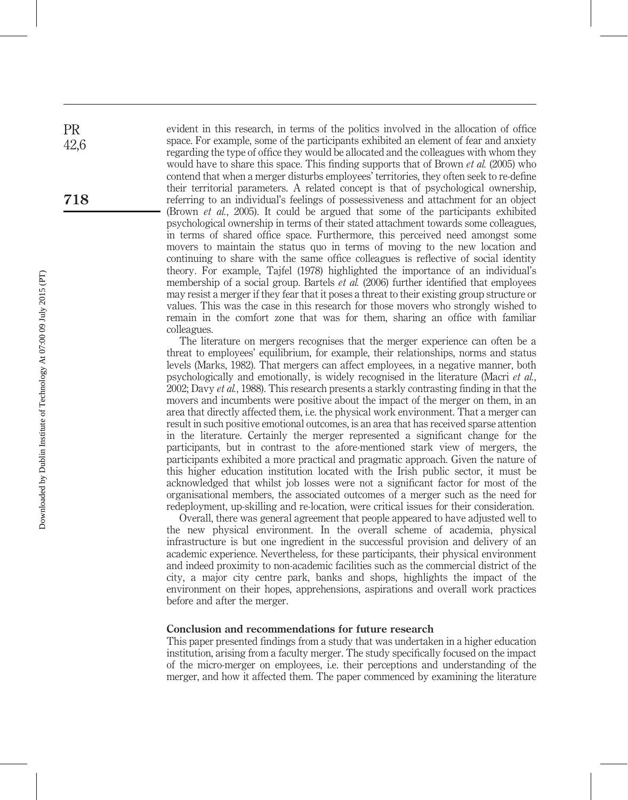evident in this research, in terms of the politics involved in the allocation of office space. For example, some of the participants exhibited an element of fear and anxiety regarding the type of office they would be allocated and the colleagues with whom they would have to share this space. This finding supports that of Brown *et al.* (2005) who contend that when a merger disturbs employees' territories, they often seek to re-define their territorial parameters. A related concept is that of psychological ownership, referring to an individual's feelings of possessiveness and attachment for an object (Brown et al., 2005). It could be argued that some of the participants exhibited psychological ownership in terms of their stated attachment towards some colleagues, in terms of shared office space. Furthermore, this perceived need amongst some movers to maintain the status quo in terms of moving to the new location and continuing to share with the same office colleagues is reflective of social identity theory. For example, Tajfel (1978) highlighted the importance of an individual's membership of a social group. Bartels *et al.* (2006) further identified that employees may resist a merger if they fear that it poses a threat to their existing group structure or values. This was the case in this research for those movers who strongly wished to remain in the comfort zone that was for them, sharing an office with familiar colleagues.

The literature on mergers recognises that the merger experience can often be a threat to employees' equilibrium, for example, their relationships, norms and status levels (Marks, 1982). That mergers can affect employees, in a negative manner, both psychologically and emotionally, is widely recognised in the literature (Macri et al., 2002; Davy *et al.*, 1988). This research presents a starkly contrasting finding in that the movers and incumbents were positive about the impact of the merger on them, in an area that directly affected them, i.e. the physical work environment. That a merger can result in such positive emotional outcomes, is an area that has received sparse attention in the literature. Certainly the merger represented a significant change for the participants, but in contrast to the afore-mentioned stark view of mergers, the participants exhibited a more practical and pragmatic approach. Given the nature of this higher education institution located with the Irish public sector, it must be acknowledged that whilst job losses were not a significant factor for most of the organisational members, the associated outcomes of a merger such as the need for redeployment, up-skilling and re-location, were critical issues for their consideration.

Overall, there was general agreement that people appeared to have adjusted well to the new physical environment. In the overall scheme of academia, physical infrastructure is but one ingredient in the successful provision and delivery of an academic experience. Nevertheless, for these participants, their physical environment and indeed proximity to non-academic facilities such as the commercial district of the city, a major city centre park, banks and shops, highlights the impact of the environment on their hopes, apprehensions, aspirations and overall work practices before and after the merger.

#### Conclusion and recommendations for future research

This paper presented findings from a study that was undertaken in a higher education institution, arising from a faculty merger. The study specifically focused on the impact of the micro-merger on employees, i.e. their perceptions and understanding of the merger, and how it affected them. The paper commenced by examining the literature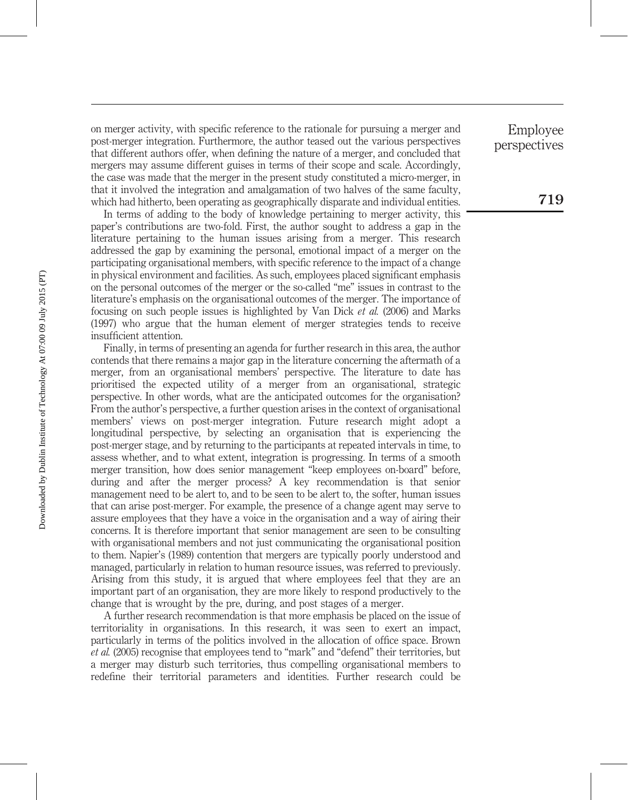on merger activity, with specific reference to the rationale for pursuing a merger and post-merger integration. Furthermore, the author teased out the various perspectives that different authors offer, when defining the nature of a merger, and concluded that mergers may assume different guises in terms of their scope and scale. Accordingly, the case was made that the merger in the present study constituted a micro-merger, in that it involved the integration and amalgamation of two halves of the same faculty, which had hitherto, been operating as geographically disparate and individual entities.

In terms of adding to the body of knowledge pertaining to merger activity, this paper's contributions are two-fold. First, the author sought to address a gap in the literature pertaining to the human issues arising from a merger. This research addressed the gap by examining the personal, emotional impact of a merger on the participating organisational members, with specific reference to the impact of a change in physical environment and facilities. As such, employees placed significant emphasis on the personal outcomes of the merger or the so-called "me" issues in contrast to the literature's emphasis on the organisational outcomes of the merger. The importance of focusing on such people issues is highlighted by Van Dick et al. (2006) and Marks (1997) who argue that the human element of merger strategies tends to receive insufficient attention.

Finally, in terms of presenting an agenda for further research in this area, the author contends that there remains a major gap in the literature concerning the aftermath of a merger, from an organisational members' perspective. The literature to date has prioritised the expected utility of a merger from an organisational, strategic perspective. In other words, what are the anticipated outcomes for the organisation? From the author's perspective, a further question arises in the context of organisational members' views on post-merger integration. Future research might adopt a longitudinal perspective, by selecting an organisation that is experiencing the post-merger stage, and by returning to the participants at repeated intervals in time, to assess whether, and to what extent, integration is progressing. In terms of a smooth merger transition, how does senior management "keep employees on-board" before, during and after the merger process? A key recommendation is that senior management need to be alert to, and to be seen to be alert to, the softer, human issues that can arise post-merger. For example, the presence of a change agent may serve to assure employees that they have a voice in the organisation and a way of airing their concerns. It is therefore important that senior management are seen to be consulting with organisational members and not just communicating the organisational position to them. Napier's (1989) contention that mergers are typically poorly understood and managed, particularly in relation to human resource issues, was referred to previously. Arising from this study, it is argued that where employees feel that they are an important part of an organisation, they are more likely to respond productively to the change that is wrought by the pre, during, and post stages of a merger.

A further research recommendation is that more emphasis be placed on the issue of territoriality in organisations. In this research, it was seen to exert an impact, particularly in terms of the politics involved in the allocation of office space. Brown et al. (2005) recognise that employees tend to "mark" and "defend" their territories, but a merger may disturb such territories, thus compelling organisational members to redefine their territorial parameters and identities. Further research could be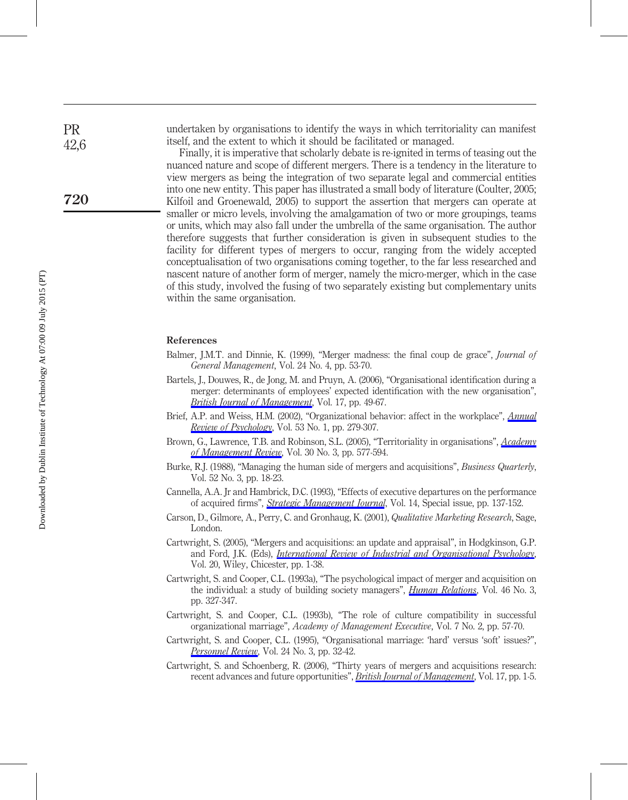undertaken by organisations to identify the ways in which territoriality can manifest itself, and the extent to which it should be facilitated or managed.

Finally, it is imperative that scholarly debate is re-ignited in terms of teasing out the nuanced nature and scope of different mergers. There is a tendency in the literature to view mergers as being the integration of two separate legal and commercial entities into one new entity. This paper has illustrated a small body of literature (Coulter, 2005; Kilfoil and Groenewald, 2005) to support the assertion that mergers can operate at smaller or micro levels, involving the amalgamation of two or more groupings, teams or units, which may also fall under the umbrella of the same organisation. The author therefore suggests that further consideration is given in subsequent studies to the facility for different types of mergers to occur, ranging from the widely accepted conceptualisation of two organisations coming together, to the far less researched and nascent nature of another form of merger, namely the micro-merger, which in the case of this study, involved the fusing of two separately existing but complementary units within the same organisation.

## References

- Balmer, J.M.T. and Dinnie, K. (1999), "Merger madness: the final coup de grace", *Journal of* General Management, Vol. 24 No. 4, pp. 53-70.
- Bartels, J., Douwes, R., de Jong, M. and Pruyn, A. (2006), "Organisational identification during a merger: determinants of employees' expected identification with the new organisation", [British Journal of Management](http://www.emeraldinsight.com/action/showLinks?crossref=10.1111%2Fj.1467-8551.2006.00478.x&isi=000235730300004), Vol. 17, pp. 49-67.
- Brief, A.P. and Weiss, H.M. (2002), "Organizational behavior: affect in the workplace", *[Annual](http://www.emeraldinsight.com/action/showLinks?crossref=10.1146%2Fannurev.psych.53.100901.135156&isi=000174039200012)* [Review of Psychology](http://www.emeraldinsight.com/action/showLinks?crossref=10.1146%2Fannurev.psych.53.100901.135156&isi=000174039200012), Vol. 53 No. 1, pp. 279-307.
- Brown, G., Lawrence, T.B. and Robinson, S.L. (2005), "Territoriality in organisations", [Academy](http://www.emeraldinsight.com/action/showLinks?crossref=10.5465%2FAMR.2005.17293710) [of Management Review](http://www.emeraldinsight.com/action/showLinks?crossref=10.5465%2FAMR.2005.17293710), Vol. 30 No. 3, pp. 577-594.
- Burke, R.J. (1988), "Managing the human side of mergers and acquisitions", Business Quarterly, Vol. 52 No. 3, pp. 18-23.
- Cannella, A.A. Jr and Hambrick, D.C. (1993), "Effects of executive departures on the performance of acquired firms", *[Strategic Management Journal](http://www.emeraldinsight.com/action/showLinks?crossref=10.1002%2Fsmj.4250140911&isi=A1993LG57900010)*, Vol. 14, Special issue, pp. 137-152.
- Carson, D., Gilmore, A., Perry, C. and Gronhaug, K. (2001), Qualitative Marketing Research, Sage, London.
- Cartwright, S. (2005), "Mergers and acquisitions: an update and appraisal", in Hodgkinson, G.P. and Ford, J.K. (Eds), *[International Review of Industrial and Organisational Psychology](http://www.emeraldinsight.com/action/showLinks?crossref=10.1002%2F0470029307.ch1)*, Vol. 20, Wiley, Chicester, pp. 1-38.
- Cartwright, S. and Cooper, C.L. (1993a), "The psychological impact of merger and acquisition on the individual: a study of building society managers", *[Human Relations](http://www.emeraldinsight.com/action/showLinks?crossref=10.1177%2F001872679304600302&isi=A1993KP76500002)*, Vol. 46 No. 3, pp. 327-347.
- Cartwright, S. and Cooper, C.L. (1993b), "The role of culture compatibility in successful organizational marriage", Academy of Management Executive, Vol. 7 No. 2, pp. 57-70.
- Cartwright, S. and Cooper, C.L. (1995), "Organisational marriage: 'hard' versus 'soft' issues?", [Personnel Review](http://www.emeraldinsight.com/action/showLinks?system=10.1108%2F00483489510089632&isi=A1995RN36200003), Vol. 24 No. 3, pp. 32-42.
- Cartwright, S. and Schoenberg, R. (2006), "Thirty years of mergers and acquisitions research: recent advances and future opportunities", *[British Journal of Management](http://www.emeraldinsight.com/action/showLinks?crossref=10.1111%2Fj.1467-8551.2006.00475.x&isi=000235730300001)*, Vol. 17, pp. 1-5.

PR 42,6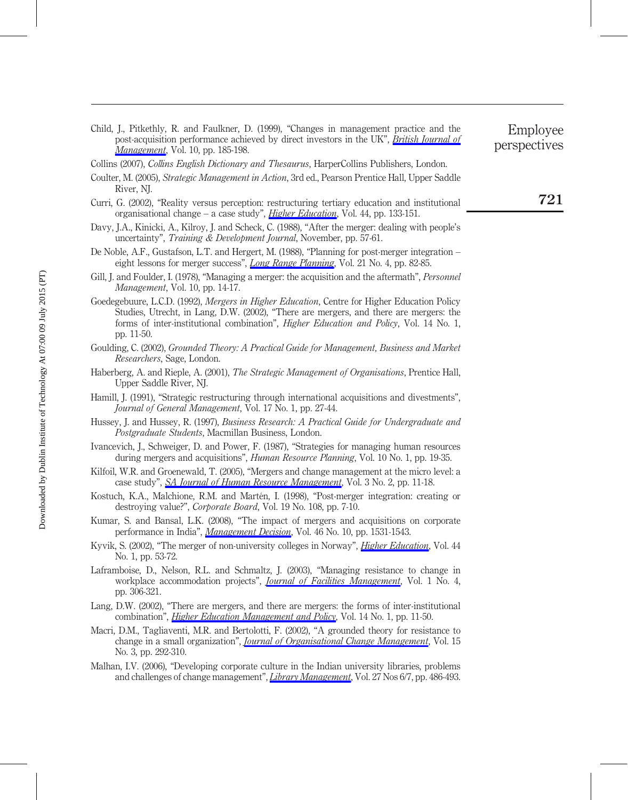Child, J., Pitkethly, R. and Faulkner, D. (1999), "Changes in management practice and the post-acquisition performance achieved by direct investors in the UK", [British Journal of](http://www.emeraldinsight.com/action/showLinks?crossref=10.1111%2F1467-8551.00126) [Management](http://www.emeraldinsight.com/action/showLinks?crossref=10.1111%2F1467-8551.00126), Vol. 10, pp. 185-198.

Collins (2007), Collins English Dictionary and Thesaurus, HarperCollins Publishers, London.

- Coulter, M. (2005), Strategic Management in Action, 3rd ed., Pearson Prentice Hall, Upper Saddle River, NJ.
- Curri, G. (2002), "Reality versus perception: restructuring tertiary education and institutional organisational change – a case study", *[Higher Education](http://www.emeraldinsight.com/action/showLinks?crossref=10.1023%2FA%3A1015521313117&isi=000175751600008)*, Vol. 44, pp. 133-151.
- Davy, J.A., Kinicki, A., Kilroy, J. and Scheck, C. (1988), "After the merger: dealing with people's uncertainty", Training & Development Journal, November, pp. 57-61.
- De Noble, A.F., Gustafson, L.T. and Hergert, M. (1988), "Planning for post-merger integration eight lessons for merger success", *[Long Range Planning](http://www.emeraldinsight.com/action/showLinks?crossref=10.1016%2F0024-6301%2888%2990012-X&isi=A1988Q004700009)*, Vol. 21 No. 4, pp. 82-85.
- Gill, J. and Foulder, I. (1978), "Managing a merger: the acquisition and the aftermath", Personnel Management, Vol. 10, pp. 14-17.
- Goedegebuure, L.C.D. (1992), Mergers in Higher Education, Centre for Higher Education Policy Studies, Utrecht, in Lang, D.W. (2002), "There are mergers, and there are mergers: the forms of inter-institutional combination", Higher Education and Policy, Vol. 14 No. 1, pp. 11-50.
- Goulding, C. (2002), Grounded Theory: A Practical Guide for Management, Business and Market Researchers, Sage, London.
- Haberberg, A. and Rieple, A. (2001), The Strategic Management of Organisations, Prentice Hall, Upper Saddle River, NJ.
- Hamill, J. (1991), "Strategic restructuring through international acquisitions and divestments", Journal of General Management, Vol. 17 No. 1, pp. 27-44.
- Hussey, J. and Hussey, R. (1997), Business Research: A Practical Guide for Undergraduate and Postgraduate Students, Macmillan Business, London.
- Ivancevich, J., Schweiger, D. and Power, F. (1987), "Strategies for managing human resources during mergers and acquisitions", *Human Resource Planning*, Vol. 10 No. 1, pp. 19-35.
- Kilfoil, W.R. and Groenewald, T. (2005), "Mergers and change management at the micro level: a case study", [SA Journal of Human Resource Management](http://www.emeraldinsight.com/action/showLinks?crossref=10.4102%2Fsajhrm.v3i2.67), Vol. 3 No. 2, pp. 11-18.
- Kostuch, K.A., Malchione, R.M. and Martén, I. (1998), "Post-merger integration: creating or destroying value?", Corporate Board, Vol. 19 No. 108, pp. 7-10.
- Kumar, S. and Bansal, L.K. (2008), "The impact of mergers and acquisitions on corporate performance in India", *[Management Decision](http://www.emeraldinsight.com/action/showLinks?system=10.1108%2F00251740810920029&isi=000261745600006)*, Vol. 46 No. 10, pp. 1531-1543.
- Kyvik, S. (2002), "The merger of non-university colleges in Norway", *[Higher Education](http://www.emeraldinsight.com/action/showLinks?crossref=10.1023%2FA%3A1015561027230&isi=000175751600004)*, Vol. 44 No. 1, pp. 53-72.
- Laframboise, D., Nelson, R.L. and Schmaltz, J. (2003), "Managing resistance to change in workplace accommodation projects", *[Journal of Facilities Management](http://www.emeraldinsight.com/action/showLinks?system=10.1108%2F14725960310808024)*, Vol. 1 No. 4, pp. 306-321.
- Lang, D.W. (2002), "There are mergers, and there are mergers: the forms of inter-institutional combination", *[Higher Education Management and Policy](http://www.emeraldinsight.com/action/showLinks?crossref=10.1787%2Fhemp-v14-art1-en)*, Vol. 14 No. 1, pp. 11-50.
- Macri, D.M., Tagliaventi, M.R. and Bertolotti, F. (2002), "A grounded theory for resistance to change in a small organization", *[Journal of Organisational Change Management](http://www.emeraldinsight.com/action/showLinks?system=10.1108%2F09534810210429327&isi=000176349000005)*, Vol. 15 No. 3, pp. 292-310.
- Malhan, I.V. (2006), "Developing corporate culture in the Indian university libraries, problems and challenges of change management", *[Library Management](http://www.emeraldinsight.com/action/showLinks?system=10.1108%2F01435120610702468)*, Vol. 27 Nos 6/7, pp. 486-493.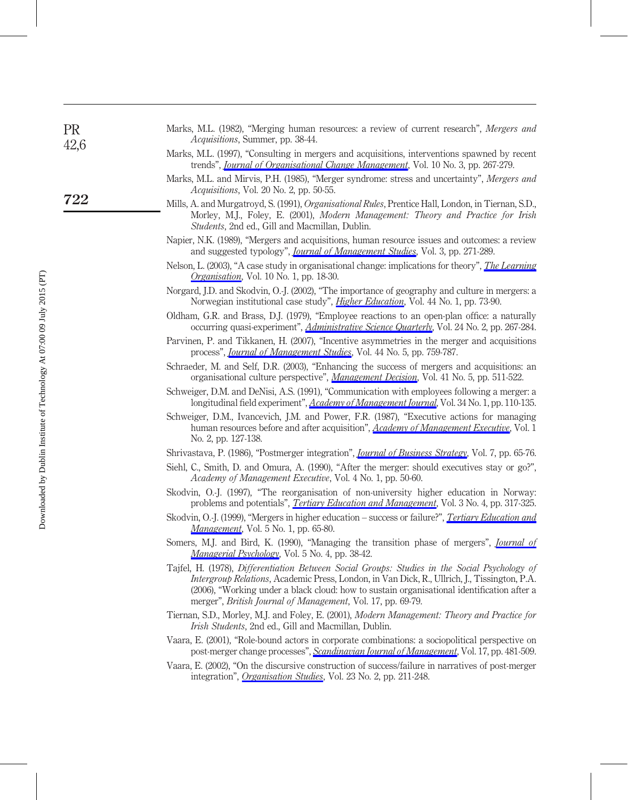| <b>PR</b><br>42,6<br>722 | Marks, M.L. (1982), "Merging human resources: a review of current research", Mergers and<br><i>Acquisitions</i> , Summer, pp. 38-44.                                                                                                                                                                                                                               |
|--------------------------|--------------------------------------------------------------------------------------------------------------------------------------------------------------------------------------------------------------------------------------------------------------------------------------------------------------------------------------------------------------------|
|                          | Marks, M.L. (1997), "Consulting in mergers and acquisitions, interventions spawned by recent<br>trends", <i>Journal of Organisational Change Management</i> , Vol. 10 No. 3, pp. 267-279.                                                                                                                                                                          |
|                          | Marks, M.L. and Mirvis, P.H. (1985), "Merger syndrome: stress and uncertainty", Mergers and<br>Acquisitions, Vol. 20 No. 2, pp. 50-55.                                                                                                                                                                                                                             |
|                          | Mills, A. and Murgatroyd, S. (1991), <i>Organisational Rules</i> , Prentice Hall, London, in Tiernan, S.D.,<br>Morley, M.J., Foley, E. (2001), Modern Management: Theory and Practice for Irish<br><i>Students</i> , 2nd ed., Gill and Macmillan, Dublin.                                                                                                          |
|                          | Napier, N.K. (1989), "Mergers and acquisitions, human resource issues and outcomes: a review<br>and suggested typology", <i>Journal of Management Studies</i> , Vol. 3, pp. 271-289.                                                                                                                                                                               |
|                          | Nelson, L. (2003), "A case study in organisational change: implications for theory", <i>The Learning</i><br><i>Organisation</i> , Vol. 10 No. 1, pp. 18-30.                                                                                                                                                                                                        |
|                          | Norgard, J.D. and Skodvin, O.-J. (2002), "The importance of geography and culture in mergers: a<br>Norwegian institutional case study", <i>Higher Education</i> , Vol. 44 No. 1, pp. 73-90.                                                                                                                                                                        |
|                          | Oldham, G.R. and Brass, D.J. (1979), "Employee reactions to an open-plan office: a naturally<br>occurring quasi-experiment", <i>Administrative Science Quarterly</i> , Vol. 24 No. 2, pp. 267-284.                                                                                                                                                                 |
|                          | Parvinen, P. and Tikkanen, H. (2007), "Incentive asymmetries in the merger and acquisitions<br>process", <i>Journal of Management Studies</i> , Vol. 44 No. 5, pp. 759-787.                                                                                                                                                                                        |
|                          | Schraeder, M. and Self, D.R. (2003), "Enhancing the success of mergers and acquisitions: an<br>organisational culture perspective", Management Decision, Vol. 41 No. 5, pp. 511-522.                                                                                                                                                                               |
|                          | Schweiger, D.M. and DeNisi, A.S. (1991), "Communication with employees following a merger: a<br>longitudinal field experiment", Academy of Management Journal, Vol. 34 No. 1, pp. 110-135.                                                                                                                                                                         |
|                          | Schweiger, D.M., Ivancevich, J.M. and Power, F.R. (1987), "Executive actions for managing<br>human resources before and after acquisition", Academy of Management Executive, Vol. 1<br>No. 2, pp. 127-138.                                                                                                                                                         |
|                          | Shrivastava, P. (1986), "Postmerger integration", <i>Journal of Business Strategy</i> , Vol. 7, pp. 65-76.                                                                                                                                                                                                                                                         |
|                          | Siehl, C., Smith, D. and Omura, A. (1990), "After the merger: should executives stay or go?",<br>Academy of Management Executive, Vol. 4 No. 1, pp. 50-60.                                                                                                                                                                                                         |
|                          | Skodvin, O.-J. (1997), "The reorganisation of non-university higher education in Norway:<br>problems and potentials", <i>Tertiary Education and Management</i> , Vol. 3 No. 4, pp. 317-325.                                                                                                                                                                        |
|                          | Skodvin, O.-J. (1999), "Mergers in higher education - success or failure?", <i>Tertiary Education and</i><br><i>Management</i> , Vol. 5 No. 1, pp. 65-80.                                                                                                                                                                                                          |
|                          | Somers, M.J. and Bird, K. (1990), "Managing the transition phase of mergers", <i>Journal of</i><br>Managerial Psychology, Vol. 5 No. 4, pp. 38-42.                                                                                                                                                                                                                 |
|                          | Tajfel, H. (1978), Differentiation Between Social Groups: Studies in the Social Psychology of<br>Intergroup Relations, Academic Press, London, in Van Dick, R., Ullrich, J., Tissington, P.A.<br>(2006), "Working under a black cloud: how to sustain organisational identification after a<br>merger", <i>British Journal of Management</i> , Vol. 17, pp. 69-79. |
|                          | Tiernan, S.D., Morley, M.J. and Foley, E. (2001), Modern Management: Theory and Practice for<br><i>Irish Students, 2nd ed., Gill and Macmillan, Dublin.</i>                                                                                                                                                                                                        |
|                          | Vaara, E. (2001), "Role-bound actors in corporate combinations: a sociopolitical perspective on<br>post-merger change processes", Scandinavian Journal of Management, Vol. 17, pp. 481-509.                                                                                                                                                                        |
|                          | Vaara, E. (2002), "On the discursive construction of success/failure in narratives of post-merger                                                                                                                                                                                                                                                                  |

integration", *[Organisation Studies](http://www.emeraldinsight.com/action/showLinks?crossref=10.1177%2F0170840602232003&isi=000176550000003)*, Vol. 23 No. 2, pp. 211-248.